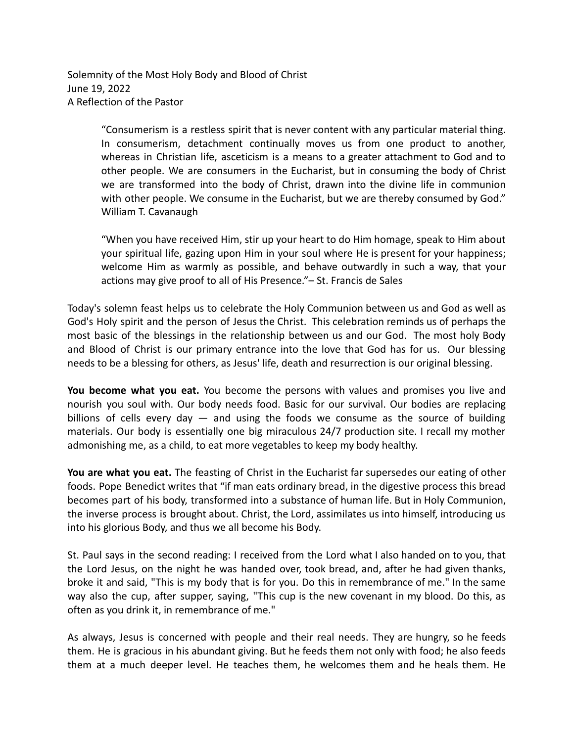Solemnity of the Most Holy Body and Blood of Christ June 19, 2022 A Reflection of the Pastor

> "Consumerism is a restless spirit that is never content with any particular material thing. In consumerism, detachment continually moves us from one product to another, whereas in Christian life, asceticism is a means to a greater attachment to God and to other people. We are consumers in the Eucharist, but in consuming the body of Christ we are transformed into the body of Christ, drawn into the divine life in communion with other people. We consume in the Eucharist, but we are thereby consumed by God." William T. Cavanaugh

> "When you have received Him, stir up your heart to do Him homage, speak to Him about your spiritual life, gazing upon Him in your soul where He is present for your happiness; welcome Him as warmly as possible, and behave outwardly in such a way, that your actions may give proof to all of His Presence."– St. Francis de Sales

Today's solemn feast helps us to celebrate the Holy Communion between us and God as well as God's Holy spirit and the person of Jesus the Christ. This celebration reminds us of perhaps the most basic of the blessings in the relationship between us and our God. The most holy Body and Blood of Christ is our primary entrance into the love that God has for us. Our blessing needs to be a blessing for others, as Jesus' life, death and resurrection is our original blessing.

**You become what you eat.** You become the persons with values and promises you live and nourish you soul with. Our body needs food. Basic for our survival. Our bodies are replacing billions of cells every day  $-$  and using the foods we consume as the source of building materials. Our body is essentially one big miraculous 24/7 production site. I recall my mother admonishing me, as a child, to eat more vegetables to keep my body healthy.

**You are what you eat.** The feasting of Christ in the Eucharist far supersedes our eating of other foods. Pope Benedict writes that "if man eats ordinary bread, in the digestive process this bread becomes part of his body, transformed into a substance of human life. But in Holy Communion, the inverse process is brought about. Christ, the Lord, assimilates us into himself, introducing us into his glorious Body, and thus we all become his Body.

St. Paul says in the second reading: I received from the Lord what I also handed on to you, that the Lord Jesus, on the night he was handed over, took bread, and, after he had given thanks, broke it and said, "This is my body that is for you. Do this in remembrance of me." In the same way also the cup, after supper, saying, "This cup is the new covenant in my blood. Do this, as often as you drink it, in remembrance of me."

As always, Jesus is concerned with people and their real needs. They are hungry, so he feeds them. He is gracious in his abundant giving. But he feeds them not only with food; he also feeds them at a much deeper level. He teaches them, he welcomes them and he heals them. He